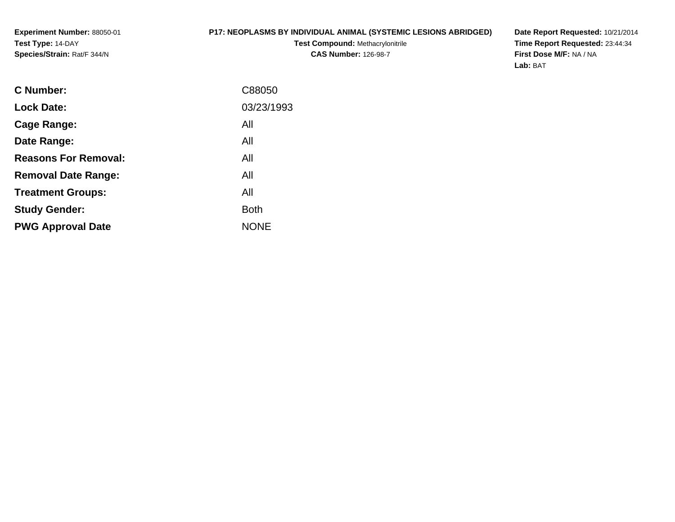## **P17: NEOPLASMS BY INDIVIDUAL ANIMAL (SYSTEMIC LESIONS ABRIDGED)**

**Test Compound:** Methacrylonitrile**CAS Number:** 126-98-7

| C88050      |
|-------------|
| 03/23/1993  |
| All         |
| All         |
| All         |
| All         |
| All         |
| <b>Both</b> |
| <b>NONE</b> |
|             |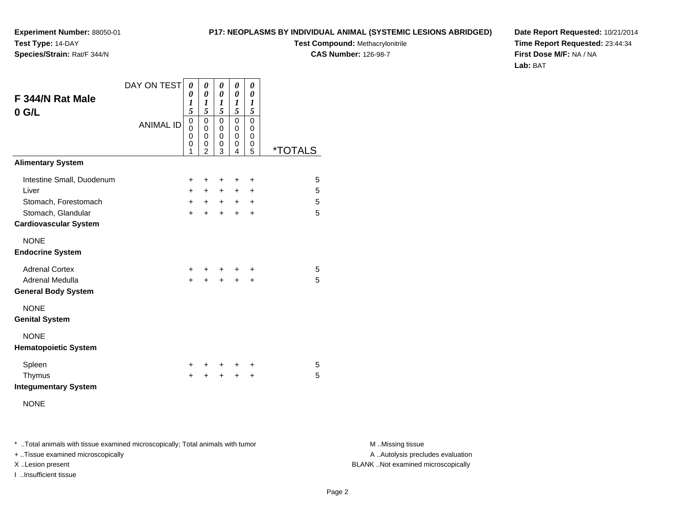#### **P17: NEOPLASMS BY INDIVIDUAL ANIMAL (SYSTEMIC LESIONS ABRIDGED)**

**Test Compound:** Methacrylonitrile

**CAS Number:** 126-98-7

**Date Report Requested:** 10/21/2014**Time Report Requested:** 23:44:34**First Dose M/F:** NA / NA**Lab:** BAT

| F 344/N Rat Male<br>$0$ G/L                                                                                      | DAY ON TEST<br><b>ANIMAL ID</b> | 0<br>0<br>1<br>5<br>0<br>$\Omega$<br>0<br>0<br>1 | 0<br>0<br>1<br>5<br>$\mathbf 0$<br>0<br>0<br>0<br>$\mathfrak{p}$ | 0<br>0<br>$\boldsymbol{l}$<br>5<br>0<br>0<br>0<br>0<br>3 | 0<br>0<br>$\boldsymbol{l}$<br>5<br>0<br>0<br>0<br>0<br>4 | 0<br>0<br>1<br>5<br>$\mathbf 0$<br>0<br>$\mathbf 0$<br>0<br>5 | <i><b>*TOTALS</b></i> |
|------------------------------------------------------------------------------------------------------------------|---------------------------------|--------------------------------------------------|------------------------------------------------------------------|----------------------------------------------------------|----------------------------------------------------------|---------------------------------------------------------------|-----------------------|
| <b>Alimentary System</b>                                                                                         |                                 |                                                  |                                                                  |                                                          |                                                          |                                                               |                       |
| Intestine Small, Duodenum<br>Liver<br>Stomach, Forestomach<br>Stomach, Glandular<br><b>Cardiovascular System</b> |                                 | +<br>$+$<br>$+$<br>$+$                           | +<br>$+$<br>$+$<br>$+$                                           | $\ddot{}$<br>$\ddot{}$<br>$+$<br>$+$                     | +<br>$\pm$<br>$+$<br>$+$                                 | +<br>$\ddot{}$<br>$\ddot{}$<br>$\ddot{}$                      | 5<br>5<br>5<br>5      |
| <b>NONE</b><br><b>Endocrine System</b>                                                                           |                                 |                                                  |                                                                  |                                                          |                                                          |                                                               |                       |
| <b>Adrenal Cortex</b><br>Adrenal Medulla<br><b>General Body System</b>                                           |                                 | +<br>$\ddot{}$                                   | $\ddot{}$                                                        | +<br>$\ddot{}$                                           | ٠<br>$\ddot{}$                                           | ٠<br>$\ddot{}$                                                | 5<br>5                |
| <b>NONE</b><br><b>Genital System</b>                                                                             |                                 |                                                  |                                                                  |                                                          |                                                          |                                                               |                       |
| <b>NONE</b><br><b>Hematopoietic System</b>                                                                       |                                 |                                                  |                                                                  |                                                          |                                                          |                                                               |                       |
| Spleen<br>Thymus<br><b>Integumentary System</b><br><b>NONE</b>                                                   |                                 | +<br>$\ddot{}$                                   | ٠<br>÷                                                           | $\ddot{}$<br>$\ddot{}$                                   | +<br>$\ddot{}$                                           | ÷<br>$\ddot{}$                                                | 5<br>5                |

\* ..Total animals with tissue examined microscopically; Total animals with tumor **M** . Missing tissue M ..Missing tissue

+ ..Tissue examined microscopically

I ..Insufficient tissue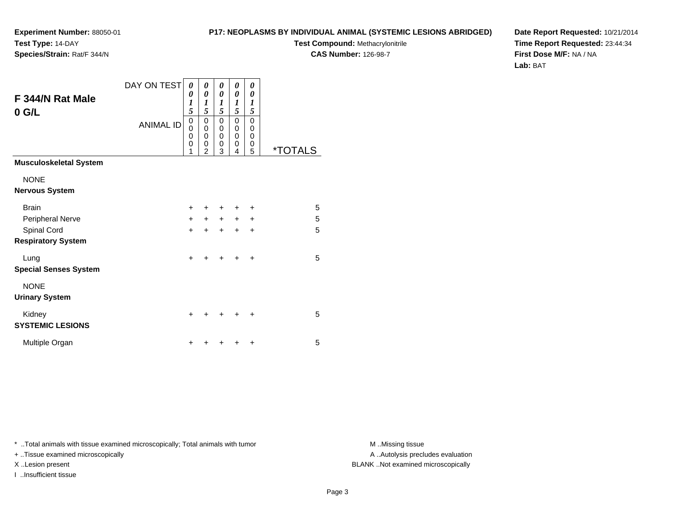#### **P17: NEOPLASMS BY INDIVIDUAL ANIMAL (SYSTEMIC LESIONS ABRIDGED)**

**Test Compound:** Methacrylonitrile

**CAS Number:** 126-98-7

**Date Report Requested:** 10/21/2014**Time Report Requested:** 23:44:34**First Dose M/F:** NA / NA**Lab:** BAT

| F 344/N Rat Male<br>$0$ G/L   | DAY ON TEST<br><b>ANIMAL ID</b> | 0<br>0<br>1<br>5<br>0<br>$\overline{0}$<br>0<br>0 | 0<br>0<br>1<br>5<br>0<br>$\mathbf 0$<br>$\mathbf 0$<br>0 | 0<br>0<br>1<br>5<br>0<br>$\mathbf 0$<br>0<br>0 | 0<br>0<br>1<br>5<br>0<br>0<br>0<br>0 | 0<br>$\theta$<br>1<br>5<br>0<br>0<br>$\mathbf 0$<br>0 |         |
|-------------------------------|---------------------------------|---------------------------------------------------|----------------------------------------------------------|------------------------------------------------|--------------------------------------|-------------------------------------------------------|---------|
|                               |                                 | 1                                                 | $\mathfrak{p}$                                           | 3                                              | 4                                    | 5                                                     | *TOTALS |
| <b>Musculoskeletal System</b> |                                 |                                                   |                                                          |                                                |                                      |                                                       |         |
| <b>NONE</b>                   |                                 |                                                   |                                                          |                                                |                                      |                                                       |         |
| <b>Nervous System</b>         |                                 |                                                   |                                                          |                                                |                                      |                                                       |         |
| <b>Brain</b>                  |                                 | $+$                                               | ÷                                                        | ÷                                              | ÷                                    | +                                                     | 5       |
| Peripheral Nerve              |                                 | $+$                                               | $+$                                                      | $+$                                            | $+$                                  | $\ddot{}$                                             | 5       |
| Spinal Cord                   |                                 | $+$                                               | $\ddot{}$                                                | $\ddot{}$                                      | $\ddot{}$                            | $\ddot{}$                                             | 5       |
| <b>Respiratory System</b>     |                                 |                                                   |                                                          |                                                |                                      |                                                       |         |
| Lung                          |                                 | $\ddot{}$                                         | +                                                        | ÷                                              | ÷                                    | ÷                                                     | 5       |
| <b>Special Senses System</b>  |                                 |                                                   |                                                          |                                                |                                      |                                                       |         |
| <b>NONE</b>                   |                                 |                                                   |                                                          |                                                |                                      |                                                       |         |
| <b>Urinary System</b>         |                                 |                                                   |                                                          |                                                |                                      |                                                       |         |
| Kidney                        |                                 | $\ddot{}$                                         |                                                          |                                                |                                      | +                                                     | 5       |
| <b>SYSTEMIC LESIONS</b>       |                                 |                                                   |                                                          |                                                |                                      |                                                       |         |
| Multiple Organ                |                                 | +                                                 |                                                          |                                                |                                      | +                                                     | 5       |

\* ..Total animals with tissue examined microscopically; Total animals with tumor **M** . Missing tissue M ..Missing tissue

+ ..Tissue examined microscopically

I ..Insufficient tissue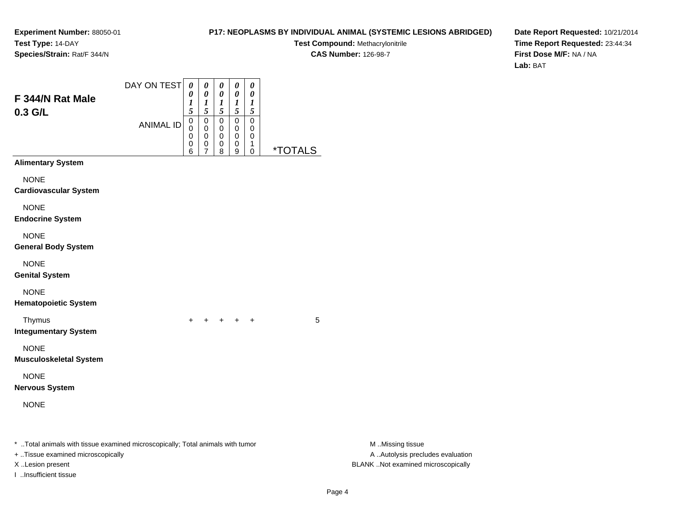#### **P17: NEOPLASMS BY INDIVIDUAL ANIMAL (SYSTEMIC LESIONS ABRIDGED)**

**Test Compound:** Methacrylonitrile**CAS Number:** 126-98-7

**Date Report Requested:** 10/21/2014**Time Report Requested:** 23:44:34**First Dose M/F:** NA / NA**Lab:** BAT

| F 344/N Rat Male<br>0.3 G/L                                                                                                              | DAY ON TEST      | $\pmb{\theta}$<br>0<br>$\boldsymbol{l}$<br>5 | 0<br>0<br>$\frac{1}{5}$                                     | $\pmb{\theta}$<br>$\boldsymbol{\theta}$<br>$\frac{1}{5}$ | $\pmb{\theta}$<br>0<br>$\frac{1}{5}$ | $\pmb{\theta}$<br>0<br>$\boldsymbol{l}$<br>5 |                       |                                                                                             |
|------------------------------------------------------------------------------------------------------------------------------------------|------------------|----------------------------------------------|-------------------------------------------------------------|----------------------------------------------------------|--------------------------------------|----------------------------------------------|-----------------------|---------------------------------------------------------------------------------------------|
|                                                                                                                                          | <b>ANIMAL ID</b> | $\pmb{0}$<br>0<br>0<br>0<br>6                | $\pmb{0}$<br>$\boldsymbol{0}$<br>$\boldsymbol{0}$<br>0<br>7 | $\mathbf 0$<br>0<br>0<br>0<br>8                          | $\pmb{0}$<br>0<br>0<br>0<br>9        | $\pmb{0}$<br>0<br>0<br>1<br>$\mathbf 0$      | <i><b>*TOTALS</b></i> |                                                                                             |
| <b>Alimentary System</b>                                                                                                                 |                  |                                              |                                                             |                                                          |                                      |                                              |                       |                                                                                             |
| <b>NONE</b><br><b>Cardiovascular System</b>                                                                                              |                  |                                              |                                                             |                                                          |                                      |                                              |                       |                                                                                             |
| <b>NONE</b><br><b>Endocrine System</b>                                                                                                   |                  |                                              |                                                             |                                                          |                                      |                                              |                       |                                                                                             |
| <b>NONE</b><br><b>General Body System</b>                                                                                                |                  |                                              |                                                             |                                                          |                                      |                                              |                       |                                                                                             |
| <b>NONE</b><br><b>Genital System</b>                                                                                                     |                  |                                              |                                                             |                                                          |                                      |                                              |                       |                                                                                             |
| <b>NONE</b><br><b>Hematopoietic System</b>                                                                                               |                  |                                              |                                                             |                                                          |                                      |                                              |                       |                                                                                             |
| Thymus<br><b>Integumentary System</b>                                                                                                    |                  | $+$                                          |                                                             | $+$ $+$ $+$ $+$                                          |                                      |                                              | 5                     |                                                                                             |
| <b>NONE</b><br><b>Musculoskeletal System</b>                                                                                             |                  |                                              |                                                             |                                                          |                                      |                                              |                       |                                                                                             |
| <b>NONE</b><br><b>Nervous System</b>                                                                                                     |                  |                                              |                                                             |                                                          |                                      |                                              |                       |                                                                                             |
| <b>NONE</b>                                                                                                                              |                  |                                              |                                                             |                                                          |                                      |                                              |                       |                                                                                             |
| *  Total animals with tissue examined microscopically; Total animals with tumor<br>+ Tissue examined microscopically<br>X Lesion present |                  |                                              |                                                             |                                                          |                                      |                                              |                       | M Missing tissue<br>A  Autolysis precludes evaluation<br>BLANK Not examined microscopically |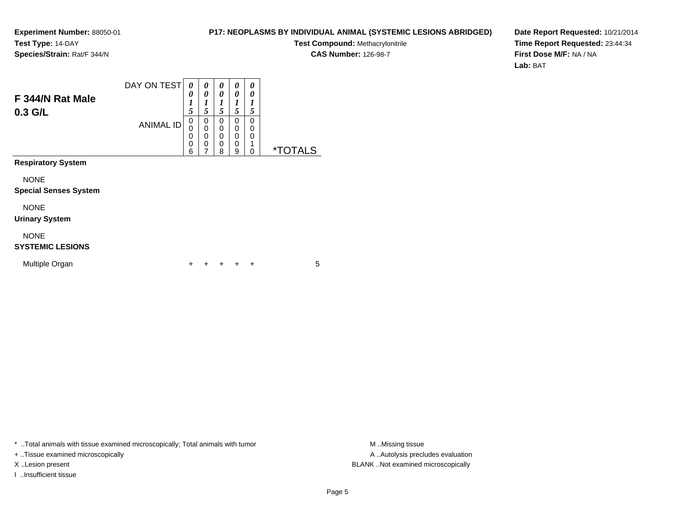#### **P17: NEOPLASMS BY INDIVIDUAL ANIMAL (SYSTEMIC LESIONS ABRIDGED)**

**Test Compound:** Methacrylonitrile

**CAS Number:** 126-98-7

**Date Report Requested:** 10/21/2014**Time Report Requested:** 23:44:34**First Dose M/F:** NA / NA**Lab:** BAT

| F 344/N Rat Male<br>$0.3$ G/L               | DAY ON TEST      | 0<br>0<br>1<br>5                | 0<br>0<br>1<br>5                                                 | 0<br>0<br>1<br>5                                    | 0<br>0<br>1<br>5                          | 0<br>0<br>1<br>5      |                       |
|---------------------------------------------|------------------|---------------------------------|------------------------------------------------------------------|-----------------------------------------------------|-------------------------------------------|-----------------------|-----------------------|
|                                             | <b>ANIMAL ID</b> | 0<br>0<br>0<br>$\mathbf 0$<br>6 | 0<br>$\mathbf 0$<br>$\mathbf 0$<br>$\mathbf 0$<br>$\overline{7}$ | 0<br>$\mathbf 0$<br>$\mathbf 0$<br>$\mathbf 0$<br>8 | 0<br>$\mathbf 0$<br>$\mathbf 0$<br>0<br>9 | 0<br>0<br>0<br>1<br>0 | <i><b>*TOTALS</b></i> |
| <b>Respiratory System</b>                   |                  |                                 |                                                                  |                                                     |                                           |                       |                       |
| <b>NONE</b><br><b>Special Senses System</b> |                  |                                 |                                                                  |                                                     |                                           |                       |                       |
| <b>NONE</b><br><b>Urinary System</b>        |                  |                                 |                                                                  |                                                     |                                           |                       |                       |
| <b>NONE</b><br><b>SYSTEMIC LESIONS</b>      |                  |                                 |                                                                  |                                                     |                                           |                       |                       |
| Multiple Organ                              |                  | ÷                               |                                                                  |                                                     |                                           | ÷                     | 5                     |

\* ..Total animals with tissue examined microscopically; Total animals with tumor **M** . Missing tissue M ..Missing tissue

+ ..Tissue examined microscopically

I ..Insufficient tissue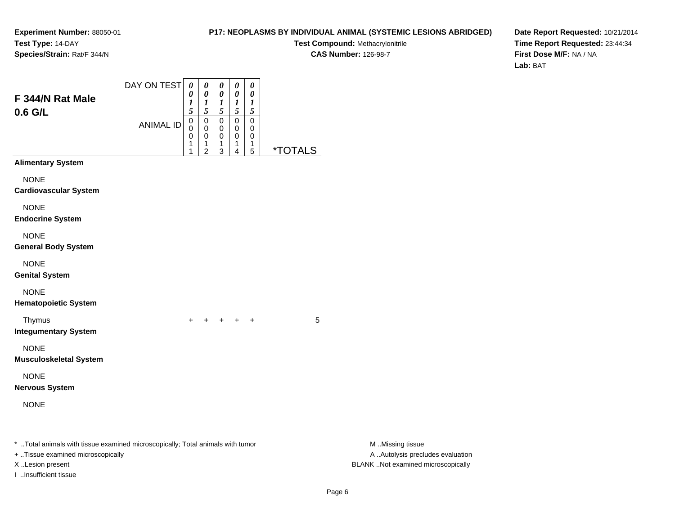#### **P17: NEOPLASMS BY INDIVIDUAL ANIMAL (SYSTEMIC LESIONS ABRIDGED)**

**Test Compound:** Methacrylonitrile

**CAS Number:** 126-98-7

|                                                                                                                                          | DAY ON TEST      | $\boldsymbol{\theta}$           | 0                                                   | 0                               | 0                                                    | 0                                       |                       |                                                                                             |
|------------------------------------------------------------------------------------------------------------------------------------------|------------------|---------------------------------|-----------------------------------------------------|---------------------------------|------------------------------------------------------|-----------------------------------------|-----------------------|---------------------------------------------------------------------------------------------|
| F 344/N Rat Male<br>$0.6$ G/L                                                                                                            |                  | 0<br>1<br>5                     | $\pmb{\theta}$<br>$\boldsymbol{l}$<br>5             | 0<br>$\boldsymbol{l}$<br>5      | $\pmb{\theta}$<br>$\boldsymbol{l}$<br>$\mathfrak{s}$ | 0<br>$\boldsymbol{l}$<br>$\mathfrak{s}$ |                       |                                                                                             |
|                                                                                                                                          | <b>ANIMAL ID</b> | $\mathbf 0$<br>0<br>0<br>1<br>1 | $\pmb{0}$<br>0<br>0<br>1<br>$\overline{\mathbf{c}}$ | $\mathbf 0$<br>0<br>0<br>1<br>3 | $\pmb{0}$<br>0<br>0<br>1<br>4                        | $\boldsymbol{0}$<br>0<br>0<br>1<br>5    | <i><b>*TOTALS</b></i> |                                                                                             |
| <b>Alimentary System</b>                                                                                                                 |                  |                                 |                                                     |                                 |                                                      |                                         |                       |                                                                                             |
| <b>NONE</b><br><b>Cardiovascular System</b>                                                                                              |                  |                                 |                                                     |                                 |                                                      |                                         |                       |                                                                                             |
| <b>NONE</b><br><b>Endocrine System</b>                                                                                                   |                  |                                 |                                                     |                                 |                                                      |                                         |                       |                                                                                             |
| <b>NONE</b><br><b>General Body System</b>                                                                                                |                  |                                 |                                                     |                                 |                                                      |                                         |                       |                                                                                             |
| <b>NONE</b><br><b>Genital System</b>                                                                                                     |                  |                                 |                                                     |                                 |                                                      |                                         |                       |                                                                                             |
| <b>NONE</b><br><b>Hematopoietic System</b>                                                                                               |                  |                                 |                                                     |                                 |                                                      |                                         |                       |                                                                                             |
| Thymus<br><b>Integumentary System</b>                                                                                                    |                  | $\pm$                           | $+$                                                 | + + +                           |                                                      |                                         | 5                     |                                                                                             |
| <b>NONE</b><br><b>Musculoskeletal System</b>                                                                                             |                  |                                 |                                                     |                                 |                                                      |                                         |                       |                                                                                             |
| <b>NONE</b><br><b>Nervous System</b>                                                                                                     |                  |                                 |                                                     |                                 |                                                      |                                         |                       |                                                                                             |
| <b>NONE</b>                                                                                                                              |                  |                                 |                                                     |                                 |                                                      |                                         |                       |                                                                                             |
| *  Total animals with tissue examined microscopically; Total animals with tumor<br>+ Tissue examined microscopically<br>X Lesion present |                  |                                 |                                                     |                                 |                                                      |                                         |                       | M Missing tissue<br>A  Autolysis precludes evaluation<br>BLANK Not examined microscopically |
| I Insufficient tissue                                                                                                                    |                  |                                 |                                                     |                                 |                                                      |                                         |                       |                                                                                             |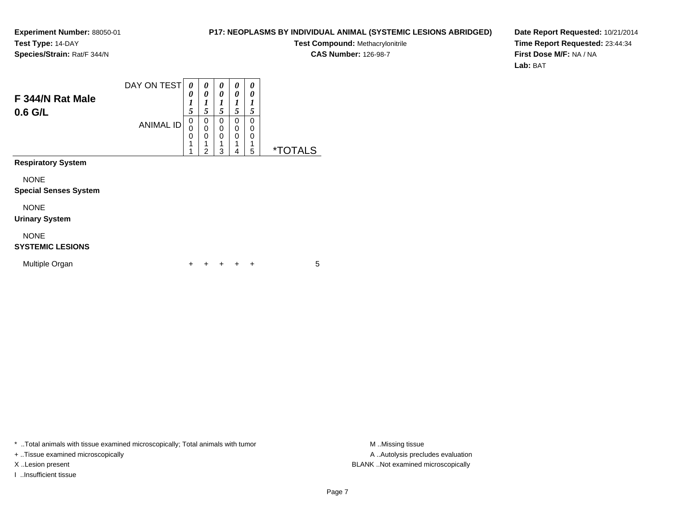#### **P17: NEOPLASMS BY INDIVIDUAL ANIMAL (SYSTEMIC LESIONS ABRIDGED)**

**Test Compound:** Methacrylonitrile**CAS Number:** 126-98-7

**Date Report Requested:** 10/21/2014**Time Report Requested:** 23:44:34**First Dose M/F:** NA / NA**Lab:** BAT

| F 344/N Rat Male<br>$0.6$ G/L               | DAY ON TEST<br><b>ANIMAL ID</b> | 0<br>0<br>$\boldsymbol{l}$<br>5<br>0<br>0<br>$\mathbf 0$<br>1 | 0<br>0<br>1<br>5<br>0<br>$\mathbf 0$<br>$\Omega$ | 0<br>0<br>1<br>5<br>$\Omega$<br>$\mathbf 0$<br>$\Omega$ | 0<br>0<br>1<br>5<br>$\Omega$<br>0<br>0 | 0<br>0<br>1<br>5<br>$\Omega$<br>0<br>0<br>1 |                       |
|---------------------------------------------|---------------------------------|---------------------------------------------------------------|--------------------------------------------------|---------------------------------------------------------|----------------------------------------|---------------------------------------------|-----------------------|
| <b>Respiratory System</b>                   |                                 | 1                                                             | $\overline{2}$                                   | 3                                                       | 4                                      | $\overline{5}$                              | <i><b>*TOTALS</b></i> |
| <b>NONE</b><br><b>Special Senses System</b> |                                 |                                                               |                                                  |                                                         |                                        |                                             |                       |
| <b>NONE</b><br><b>Urinary System</b>        |                                 |                                                               |                                                  |                                                         |                                        |                                             |                       |
| <b>NONE</b><br><b>SYSTEMIC LESIONS</b>      |                                 |                                                               |                                                  |                                                         |                                        |                                             |                       |
| Multiple Organ                              |                                 | ٠                                                             |                                                  |                                                         |                                        | ٠                                           | 5                     |

\* ..Total animals with tissue examined microscopically; Total animals with tumor **M** . Missing tissue M ..Missing tissue

+ ..Tissue examined microscopically

I ..Insufficient tissue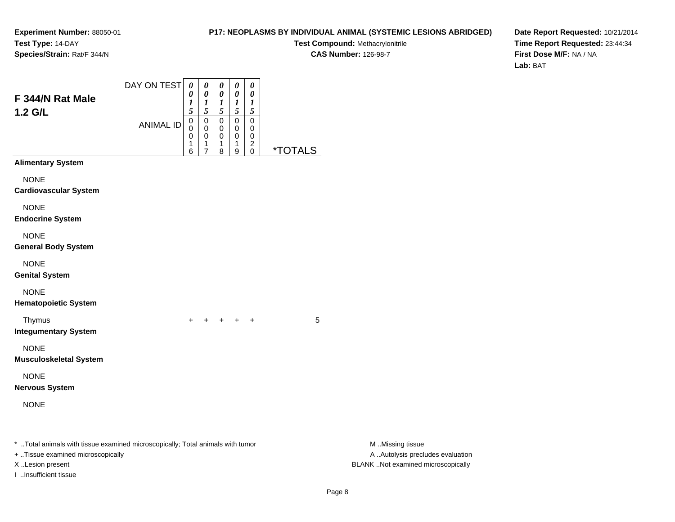#### **P17: NEOPLASMS BY INDIVIDUAL ANIMAL (SYSTEMIC LESIONS ABRIDGED)**

**Test Compound:** Methacrylonitrile

**CAS Number:** 126-98-7

| F 344/N Rat Male<br>1.2 G/L                                                                                          | DAY ON TEST      | $\pmb{\theta}$<br>0<br>1<br>5         | $\pmb{\theta}$<br>$\boldsymbol{\theta}$<br>$\frac{1}{5}$    | $\pmb{\theta}$<br>$\pmb{\theta}$<br>$\frac{1}{5}$ | $\pmb{\theta}$<br>$\boldsymbol{\theta}$<br>$\frac{1}{5}$          | $\pmb{\theta}$<br>$\boldsymbol{\theta}$<br>1<br>$\mathfrak{s}$          |                       |                                                       |
|----------------------------------------------------------------------------------------------------------------------|------------------|---------------------------------------|-------------------------------------------------------------|---------------------------------------------------|-------------------------------------------------------------------|-------------------------------------------------------------------------|-----------------------|-------------------------------------------------------|
|                                                                                                                      | <b>ANIMAL ID</b> | $\,0\,$<br>$\mathbf 0$<br>0<br>1<br>6 | $\,0\,$<br>$\pmb{0}$<br>0<br>$\mathbf{1}$<br>$\overline{7}$ | $\mbox{O}$<br>$\pmb{0}$<br>0<br>1<br>8            | $\mathbf 0$<br>0<br>$\pmb{0}$<br>$\mathbf{1}$<br>$\boldsymbol{9}$ | $\mathbf 0$<br>0<br>$\mathbf 0$<br>$\overline{\mathbf{c}}$<br>$\pmb{0}$ | <i><b>*TOTALS</b></i> |                                                       |
| <b>Alimentary System</b>                                                                                             |                  |                                       |                                                             |                                                   |                                                                   |                                                                         |                       |                                                       |
| <b>NONE</b><br><b>Cardiovascular System</b>                                                                          |                  |                                       |                                                             |                                                   |                                                                   |                                                                         |                       |                                                       |
| <b>NONE</b><br><b>Endocrine System</b>                                                                               |                  |                                       |                                                             |                                                   |                                                                   |                                                                         |                       |                                                       |
| <b>NONE</b><br><b>General Body System</b>                                                                            |                  |                                       |                                                             |                                                   |                                                                   |                                                                         |                       |                                                       |
| <b>NONE</b><br><b>Genital System</b>                                                                                 |                  |                                       |                                                             |                                                   |                                                                   |                                                                         |                       |                                                       |
| <b>NONE</b><br><b>Hematopoietic System</b>                                                                           |                  |                                       |                                                             |                                                   |                                                                   |                                                                         |                       |                                                       |
| Thymus<br><b>Integumentary System</b>                                                                                |                  | $\pm$                                 | $+$                                                         |                                                   | $+$ $+$ $+$                                                       |                                                                         | 5                     |                                                       |
| <b>NONE</b><br><b>Musculoskeletal System</b>                                                                         |                  |                                       |                                                             |                                                   |                                                                   |                                                                         |                       |                                                       |
| <b>NONE</b><br><b>Nervous System</b>                                                                                 |                  |                                       |                                                             |                                                   |                                                                   |                                                                         |                       |                                                       |
| <b>NONE</b>                                                                                                          |                  |                                       |                                                             |                                                   |                                                                   |                                                                         |                       |                                                       |
| *  Total animals with tissue examined microscopically; Total animals with tumor<br>+ Tissue examined microscopically |                  |                                       |                                                             |                                                   |                                                                   |                                                                         |                       | M Missing tissue<br>A  Autolysis precludes evaluation |
| X Lesion present<br>I Insufficient tissue                                                                            |                  |                                       |                                                             |                                                   |                                                                   |                                                                         |                       | BLANK Not examined microscopically                    |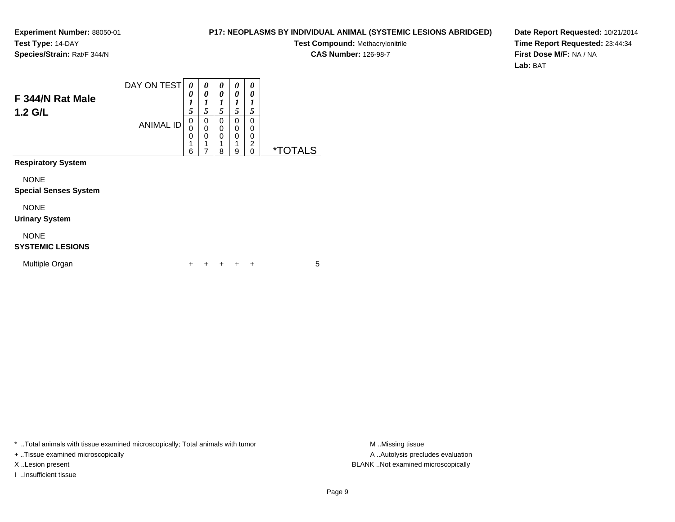#### **P17: NEOPLASMS BY INDIVIDUAL ANIMAL (SYSTEMIC LESIONS ABRIDGED)**

**Test Compound:** Methacrylonitrile**CAS Number:** 126-98-7

**Date Report Requested:** 10/21/2014**Time Report Requested:** 23:44:34**First Dose M/F:** NA / NA**Lab:** BAT

| F 344/N Rat Male<br>$1.2$ G/L               | DAY ON TEST      | 0<br>0<br>1<br>5             | 0<br>0<br>1<br>5                          | 0<br>0<br>1<br>5                | 0<br>0<br>1<br>5           | 0<br>0<br>ı<br>5             |                       |
|---------------------------------------------|------------------|------------------------------|-------------------------------------------|---------------------------------|----------------------------|------------------------------|-----------------------|
|                                             | <b>ANIMAL ID</b> | 0<br>$\Omega$<br>0<br>1<br>6 | 0<br>$\mathbf 0$<br>$\mathbf 0$<br>1<br>7 | 0<br>0<br>$\mathbf 0$<br>1<br>8 | 0<br>0<br>$\mathbf 0$<br>9 | 0<br>0<br>0<br>2<br>$\Omega$ | <i><b>*TOTALS</b></i> |
| <b>Respiratory System</b>                   |                  |                              |                                           |                                 |                            |                              |                       |
| <b>NONE</b><br><b>Special Senses System</b> |                  |                              |                                           |                                 |                            |                              |                       |
| <b>NONE</b><br><b>Urinary System</b>        |                  |                              |                                           |                                 |                            |                              |                       |
| <b>NONE</b><br><b>SYSTEMIC LESIONS</b>      |                  |                              |                                           |                                 |                            |                              |                       |
| Multiple Organ                              |                  | ٠                            |                                           |                                 |                            | ٠                            | 5                     |

\* ..Total animals with tissue examined microscopically; Total animals with tumor **M** . Missing tissue M ..Missing tissue

+ ..Tissue examined microscopically

I ..Insufficient tissue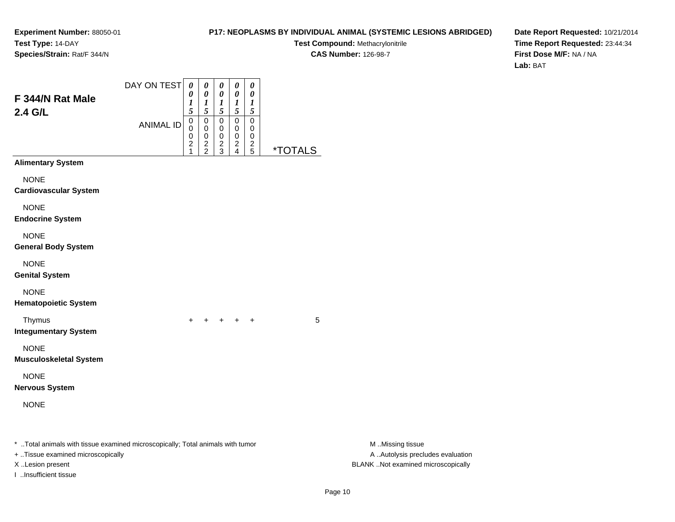#### **P17: NEOPLASMS BY INDIVIDUAL ANIMAL (SYSTEMIC LESIONS ABRIDGED)**

**Test Compound:** Methacrylonitrile

**CAS Number:** 126-98-7

| F 344/N Rat Male                                                                                                    | DAY ON TEST      | $\boldsymbol{\theta}$<br>0<br>$\boldsymbol{l}$    | 0<br>$\pmb{\theta}$<br>$\boldsymbol{l}$       | 0<br>0<br>$\boldsymbol{l}$                        | $\pmb{\theta}$<br>$\pmb{\theta}$<br>$\boldsymbol{l}$ | $\pmb{\theta}$<br>0<br>$\boldsymbol{l}$                |                       |                                                       |
|---------------------------------------------------------------------------------------------------------------------|------------------|---------------------------------------------------|-----------------------------------------------|---------------------------------------------------|------------------------------------------------------|--------------------------------------------------------|-----------------------|-------------------------------------------------------|
| 2.4 G/L                                                                                                             | <b>ANIMAL ID</b> | 5<br>$\,0\,$<br>0<br>0<br>$\overline{\mathbf{c}}$ | 5<br>$\,0\,$<br>0<br>$\,0\,$<br>$\frac{2}{2}$ | 5<br>0<br>$\pmb{0}$<br>$\pmb{0}$<br>$\frac{2}{3}$ | 5<br>$\pmb{0}$<br>$\mathbf 0$<br>0<br>$\frac{2}{4}$  | $\mathfrak{s}$<br>$\pmb{0}$<br>0<br>0<br>$\frac{2}{5}$ |                       |                                                       |
| <b>Alimentary System</b>                                                                                            |                  | 1                                                 |                                               |                                                   |                                                      |                                                        | <i><b>*TOTALS</b></i> |                                                       |
| <b>NONE</b><br><b>Cardiovascular System</b>                                                                         |                  |                                                   |                                               |                                                   |                                                      |                                                        |                       |                                                       |
| <b>NONE</b><br><b>Endocrine System</b>                                                                              |                  |                                                   |                                               |                                                   |                                                      |                                                        |                       |                                                       |
| <b>NONE</b><br><b>General Body System</b>                                                                           |                  |                                                   |                                               |                                                   |                                                      |                                                        |                       |                                                       |
| <b>NONE</b><br><b>Genital System</b>                                                                                |                  |                                                   |                                               |                                                   |                                                      |                                                        |                       |                                                       |
| <b>NONE</b><br><b>Hematopoietic System</b>                                                                          |                  |                                                   |                                               |                                                   |                                                      |                                                        |                       |                                                       |
| Thymus<br><b>Integumentary System</b>                                                                               |                  | $\pm$                                             |                                               |                                                   | + + +                                                |                                                        | 5                     |                                                       |
| <b>NONE</b><br><b>Musculoskeletal System</b>                                                                        |                  |                                                   |                                               |                                                   |                                                      |                                                        |                       |                                                       |
| <b>NONE</b><br><b>Nervous System</b>                                                                                |                  |                                                   |                                               |                                                   |                                                      |                                                        |                       |                                                       |
| <b>NONE</b>                                                                                                         |                  |                                                   |                                               |                                                   |                                                      |                                                        |                       |                                                       |
| * Total animals with tissue examined microscopically; Total animals with tumor<br>+ Tissue examined microscopically |                  |                                                   |                                               |                                                   |                                                      |                                                        |                       | M Missing tissue<br>A  Autolysis precludes evaluation |
| X Lesion present<br>I Insufficient tissue                                                                           |                  |                                                   |                                               |                                                   |                                                      |                                                        |                       | BLANK Not examined microscopically                    |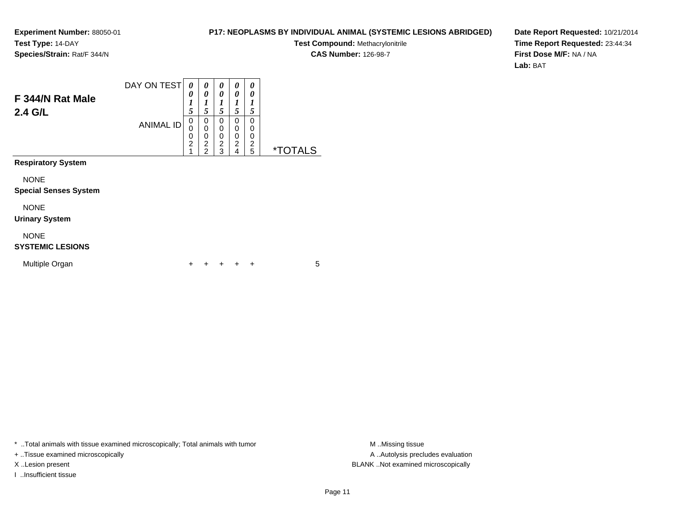#### **P17: NEOPLASMS BY INDIVIDUAL ANIMAL (SYSTEMIC LESIONS ABRIDGED)**

**Test Compound:** Methacrylonitrile

**CAS Number:** 126-98-7

**Date Report Requested:** 10/21/2014**Time Report Requested:** 23:44:34**First Dose M/F:** NA / NA**Lab:** BAT

| F 344/N Rat Male<br>$2.4$ G/L               | DAY ON TEST<br><b>ANIMAL ID</b> | 0<br>0<br>$\boldsymbol{l}$<br>5<br>0<br>0<br>0<br>$\overline{2}$<br>1 | 0<br>0<br>$\boldsymbol{l}$<br>5<br>0<br>$\mathbf 0$<br>0<br>$\overline{c}$<br>$\overline{2}$ | 0<br>0<br>1<br>5<br>0<br>0<br>0<br>$\overline{c}$<br>3 | 0<br>0<br>1<br>5<br>0<br>0<br>0<br>$\overline{c}$<br>4 | 0<br>0<br>1<br>5<br>0<br>0<br>0<br>$\overline{c}$<br>5 | <i><b>*TOTALS</b></i> |
|---------------------------------------------|---------------------------------|-----------------------------------------------------------------------|----------------------------------------------------------------------------------------------|--------------------------------------------------------|--------------------------------------------------------|--------------------------------------------------------|-----------------------|
| <b>Respiratory System</b>                   |                                 |                                                                       |                                                                                              |                                                        |                                                        |                                                        |                       |
| <b>NONE</b><br><b>Special Senses System</b> |                                 |                                                                       |                                                                                              |                                                        |                                                        |                                                        |                       |
| <b>NONE</b><br><b>Urinary System</b>        |                                 |                                                                       |                                                                                              |                                                        |                                                        |                                                        |                       |
| <b>NONE</b><br><b>SYSTEMIC LESIONS</b>      |                                 |                                                                       |                                                                                              |                                                        |                                                        |                                                        |                       |
| Multiple Organ                              |                                 | ÷                                                                     | ٠                                                                                            | +                                                      | ÷                                                      | ÷                                                      | 5                     |

\* ..Total animals with tissue examined microscopically; Total animals with tumor **M** . Missing tissue M ..Missing tissue

+ ..Tissue examined microscopically

I ..Insufficient tissue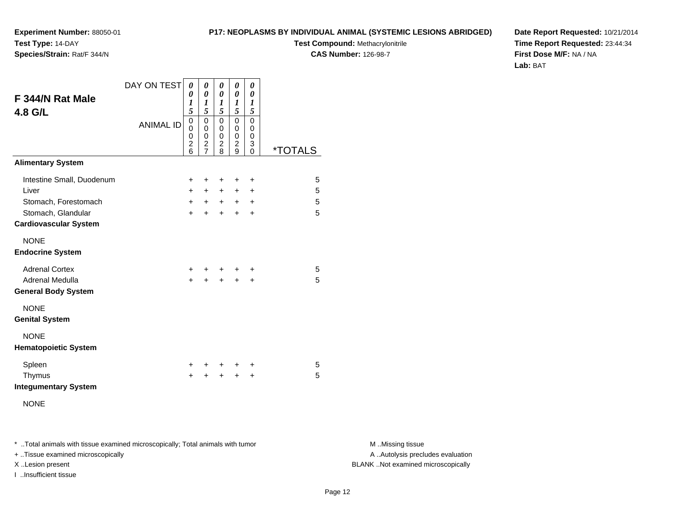**P17: NEOPLASMS BY INDIVIDUAL ANIMAL (SYSTEMIC LESIONS ABRIDGED)**

**Test Compound:** Methacrylonitrile

**CAS Number:** 126-98-7

**Date Report Requested:** 10/21/2014**Time Report Requested:** 23:44:34**First Dose M/F:** NA / NA**Lab:** BAT

| F 344/N Rat Male<br>4.8 G/L                        | DAY ON TEST<br><b>ANIMAL ID</b> | 0<br>0<br>1<br>5<br>0<br>$\mathbf{0}$<br>0<br>$\overline{2}$<br>6 | 0<br>$\pmb{\theta}$<br>1<br>5<br>$\mathbf 0$<br>$\mathbf 0$<br>0<br>$\overline{c}$<br>$\overline{7}$ | 0<br>$\boldsymbol{\theta}$<br>1<br>5<br>$\mathbf 0$<br>0<br>$\mathbf 0$<br>$\overline{c}$<br>8 | 0<br>$\theta$<br>$\boldsymbol{l}$<br>5<br>$\mathbf 0$<br>0<br>0<br>$\overline{c}$<br>9 | 0<br>0<br>1<br>5<br>$\mathbf 0$<br>0<br>0<br>3<br>0 | <i><b>*TOTALS</b></i> |
|----------------------------------------------------|---------------------------------|-------------------------------------------------------------------|------------------------------------------------------------------------------------------------------|------------------------------------------------------------------------------------------------|----------------------------------------------------------------------------------------|-----------------------------------------------------|-----------------------|
| <b>Alimentary System</b>                           |                                 |                                                                   |                                                                                                      |                                                                                                |                                                                                        |                                                     |                       |
| Intestine Small, Duodenum                          |                                 | +                                                                 | +                                                                                                    | +                                                                                              | +                                                                                      | ÷                                                   | 5                     |
| Liver                                              |                                 | $\ddot{}$                                                         | $\ddot{}$                                                                                            | $+$                                                                                            | $\ddot{}$                                                                              | $\ddot{}$                                           | 5                     |
| Stomach, Forestomach                               |                                 | $\ddot{}$                                                         | $+$                                                                                                  | $+$                                                                                            | $+$                                                                                    | $\ddot{}$                                           | 5                     |
| Stomach, Glandular<br><b>Cardiovascular System</b> |                                 | $\ddot{}$                                                         | $\ddot{}$                                                                                            | $\ddot{}$                                                                                      | $+$                                                                                    | $\ddot{}$                                           | 5                     |
| <b>NONE</b><br><b>Endocrine System</b>             |                                 |                                                                   |                                                                                                      |                                                                                                |                                                                                        |                                                     |                       |
| <b>Adrenal Cortex</b>                              |                                 | +                                                                 | ٠                                                                                                    | +                                                                                              |                                                                                        | ٠                                                   | 5                     |
| Adrenal Medulla<br><b>General Body System</b>      |                                 | $\ddot{}$                                                         | $\ddot{}$                                                                                            | $\ddot{}$                                                                                      | +                                                                                      | +                                                   | 5                     |
| <b>NONE</b><br><b>Genital System</b>               |                                 |                                                                   |                                                                                                      |                                                                                                |                                                                                        |                                                     |                       |
| <b>NONE</b><br><b>Hematopoietic System</b>         |                                 |                                                                   |                                                                                                      |                                                                                                |                                                                                        |                                                     |                       |
| Spleen                                             |                                 | ٠                                                                 | ٠                                                                                                    | ÷                                                                                              | ÷                                                                                      | $\ddot{}$                                           | 5                     |
| Thymus<br><b>Integumentary System</b>              |                                 | $\ddot{}$                                                         | $\ddot{}$                                                                                            | $\ddot{}$                                                                                      | $\ddot{}$                                                                              | $\pm$                                               | 5                     |
| <b>NONE</b>                                        |                                 |                                                                   |                                                                                                      |                                                                                                |                                                                                        |                                                     |                       |

\* ..Total animals with tissue examined microscopically; Total animals with tumor **M** . Missing tissue M ..Missing tissue

+ ..Tissue examined microscopically

**Experiment Number:** 88050-01

**Species/Strain:** Rat/F 344/N

**Test Type:** 14-DAY

I ..Insufficient tissue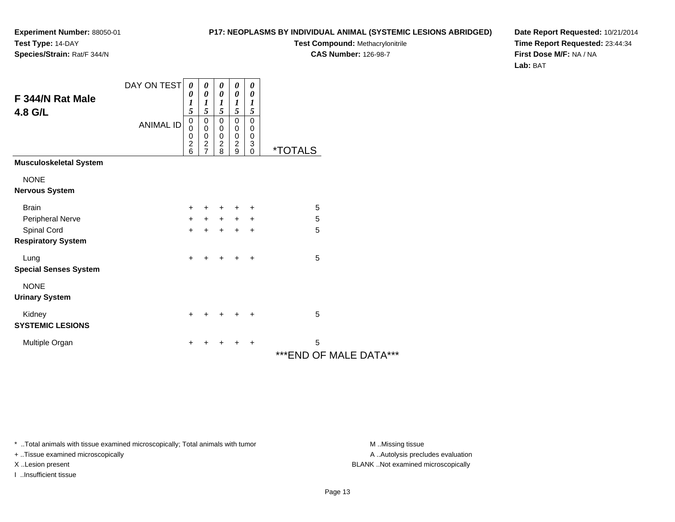#### **P17: NEOPLASMS BY INDIVIDUAL ANIMAL (SYSTEMIC LESIONS ABRIDGED)**

**Test Compound:** Methacrylonitrile

**CAS Number:** 126-98-7

**Date Report Requested:** 10/21/2014**Time Report Requested:** 23:44:34**First Dose M/F:** NA / NA**Lab:** BAT

| F 344/N Rat Male<br>4.8 G/L              | DAY ON TEST      | 0<br>0<br>1<br>5                                         | 0<br>$\boldsymbol{\theta}$<br>$\boldsymbol{l}$<br>5               | 0<br>$\boldsymbol{\theta}$<br>$\boldsymbol{l}$<br>5 | 0<br>$\pmb{\theta}$<br>$\boldsymbol{l}$<br>5                 | 0<br>$\boldsymbol{\theta}$<br>1<br>$\sqrt{5}$ |                              |
|------------------------------------------|------------------|----------------------------------------------------------|-------------------------------------------------------------------|-----------------------------------------------------|--------------------------------------------------------------|-----------------------------------------------|------------------------------|
|                                          | <b>ANIMAL ID</b> | $\mathbf 0$<br>0<br>$\mathbf 0$<br>$\boldsymbol{2}$<br>6 | $\pmb{0}$<br>0<br>$\pmb{0}$<br>$\boldsymbol{2}$<br>$\overline{7}$ | $\pmb{0}$<br>0<br>0<br>$\boldsymbol{2}$<br>8        | $\pmb{0}$<br>$\pmb{0}$<br>$\pmb{0}$<br>$\boldsymbol{2}$<br>9 | $\pmb{0}$<br>0<br>0<br>3<br>$\mathbf 0$       | <i><b>*TOTALS</b></i>        |
| <b>Musculoskeletal System</b>            |                  |                                                          |                                                                   |                                                     |                                                              |                                               |                              |
| <b>NONE</b><br><b>Nervous System</b>     |                  |                                                          |                                                                   |                                                     |                                                              |                                               |                              |
| <b>Brain</b>                             |                  | ÷                                                        | $+$                                                               | $\ddot{}$                                           | $\ddot{}$                                                    | ÷                                             | 5                            |
| Peripheral Nerve                         |                  | +                                                        | $+$                                                               | $+$                                                 | $+$                                                          | $\ddot{}$                                     | 5                            |
| Spinal Cord<br><b>Respiratory System</b> |                  | $\ddot{}$                                                | $\ddot{}$                                                         | $\ddot{}$                                           | $\ddot{}$                                                    | $\ddot{}$                                     | 5                            |
| Lung<br><b>Special Senses System</b>     |                  | $\ddot{}$                                                | +                                                                 | $\ddot{}$                                           | $\ddot{}$                                                    | $\ddot{}$                                     | 5                            |
| <b>NONE</b><br><b>Urinary System</b>     |                  |                                                          |                                                                   |                                                     |                                                              |                                               |                              |
| Kidney<br><b>SYSTEMIC LESIONS</b>        |                  | $\ddot{}$                                                | +                                                                 | $\ddot{}$                                           | $\ddot{}$                                                    | $\ddot{}$                                     | 5                            |
| Multiple Organ                           |                  | +                                                        | +                                                                 | +                                                   | $\ddot{}$                                                    | $\ddot{}$                                     | 5<br>*** END OF MALE DATA*** |

\* ..Total animals with tissue examined microscopically; Total animals with tumor **M** . Missing tissue M ..Missing tissue

+ ..Tissue examined microscopically

I ..Insufficient tissue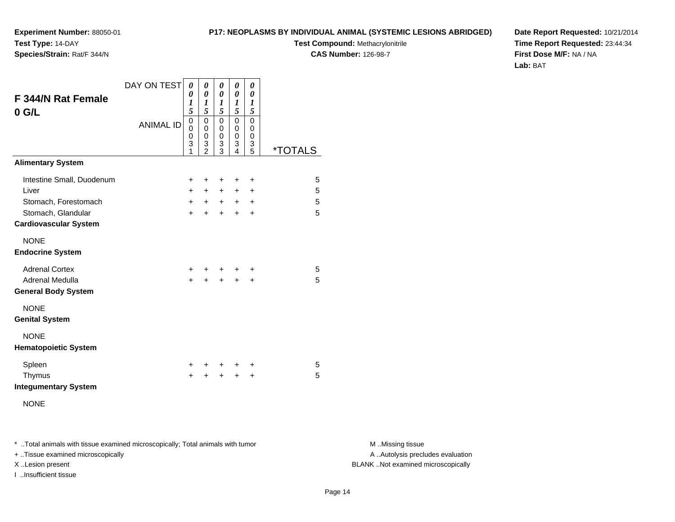**P17: NEOPLASMS BY INDIVIDUAL ANIMAL (SYSTEMIC LESIONS ABRIDGED)**

**Test Compound:** Methacrylonitrile

**CAS Number:** 126-98-7

**Date Report Requested:** 10/21/2014**Time Report Requested:** 23:44:34**First Dose M/F:** NA / NA**Lab:** BAT

| <b>F 344/N Rat Female</b><br>$0$ G/L                                             | DAY ON TEST      | 0<br>0<br>1<br>5                | 0<br>0<br>1<br>5                                           | 0<br>0<br>1<br>5             | 0<br>0<br>1<br>5                   | 0<br>0<br>1<br>5                 |                       |
|----------------------------------------------------------------------------------|------------------|---------------------------------|------------------------------------------------------------|------------------------------|------------------------------------|----------------------------------|-----------------------|
|                                                                                  | <b>ANIMAL ID</b> | $\mathbf 0$<br>0<br>0<br>3<br>1 | $\mathbf 0$<br>$\mathbf 0$<br>$\mathbf 0$<br>$\frac{3}{2}$ | 0<br>0<br>0<br>3<br>3        | 0<br>0<br>0<br>3<br>4              | 0<br>0<br>0<br>$\frac{3}{5}$     | <i><b>*TOTALS</b></i> |
| <b>Alimentary System</b>                                                         |                  |                                 |                                                            |                              |                                    |                                  |                       |
| Intestine Small, Duodenum<br>Liver<br>Stomach, Forestomach<br>Stomach, Glandular |                  | +<br>$+$<br>$+$<br>$\ddot{}$    | +<br>$+$<br>$+$<br>+                                       | +<br>$+$<br>$+$<br>$\ddot{}$ | +<br>$\ddot{}$<br>$+$<br>$\ddot{}$ | +<br>+<br>$\ddot{}$<br>$\ddot{}$ | 5<br>5<br>5<br>5      |
| <b>Cardiovascular System</b>                                                     |                  |                                 |                                                            |                              |                                    |                                  |                       |
| <b>NONE</b><br><b>Endocrine System</b>                                           |                  |                                 |                                                            |                              |                                    |                                  |                       |
| <b>Adrenal Cortex</b><br>Adrenal Medulla<br><b>General Body System</b>           |                  | $\ddot{}$<br>$\ddot{}$          | $\ddot{}$                                                  | $\ddot{}$                    | $\ddot{}$                          | ÷<br>$\ddot{}$                   | 5<br>5                |
| <b>NONE</b><br><b>Genital System</b>                                             |                  |                                 |                                                            |                              |                                    |                                  |                       |
| <b>NONE</b><br><b>Hematopoietic System</b>                                       |                  |                                 |                                                            |                              |                                    |                                  |                       |
| Spleen<br>Thymus<br><b>Integumentary System</b>                                  |                  | +<br>$\ddot{}$                  | +                                                          | +<br>$\ddot{}$               | +<br>$\ddot{}$                     | +<br>$\ddot{}$                   | 5<br>5                |
| <b>NONE</b>                                                                      |                  |                                 |                                                            |                              |                                    |                                  |                       |

\* ..Total animals with tissue examined microscopically; Total animals with tumor **M** . Missing tissue M ..Missing tissue

+ ..Tissue examined microscopically

**Experiment Number:** 88050-01

**Species/Strain:** Rat/F 344/N

**Test Type:** 14-DAY

I ..Insufficient tissue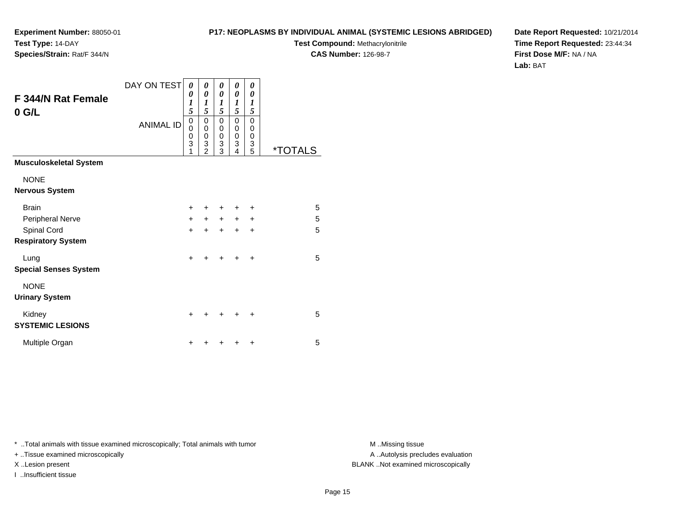#### **P17: NEOPLASMS BY INDIVIDUAL ANIMAL (SYSTEMIC LESIONS ABRIDGED)**

**Test Compound:** Methacrylonitrile

**CAS Number:** 126-98-7

**Date Report Requested:** 10/21/2014**Time Report Requested:** 23:44:34**First Dose M/F:** NA / NA**Lab:** BAT

| F 344/N Rat Female<br>$0$ G/L            | DAY ON TEST<br><b>ANIMAL ID</b> | 0<br>0<br>1<br>5<br>0<br>0<br>$\mathbf 0$<br>3<br>1 | 0<br>0<br>$\boldsymbol{l}$<br>5<br>0<br>0<br>0<br>$\overline{3}$<br>$\overline{2}$ | 0<br>0<br>1<br>5<br>0<br>0<br>$\mathbf 0$<br>$\frac{3}{3}$ | 0<br>0<br>1<br>5<br>$\mathbf 0$<br>0<br>$\mathbf 0$<br>$\overline{3}$<br>4 | 0<br>0<br>$\boldsymbol{l}$<br>5<br>$\mathbf 0$<br>0<br>0<br>3<br>5 | <i><b>*TOTALS</b></i> |
|------------------------------------------|---------------------------------|-----------------------------------------------------|------------------------------------------------------------------------------------|------------------------------------------------------------|----------------------------------------------------------------------------|--------------------------------------------------------------------|-----------------------|
| <b>Musculoskeletal System</b>            |                                 |                                                     |                                                                                    |                                                            |                                                                            |                                                                    |                       |
| <b>NONE</b><br><b>Nervous System</b>     |                                 |                                                     |                                                                                    |                                                            |                                                                            |                                                                    |                       |
| <b>Brain</b><br>Peripheral Nerve         |                                 | ٠<br>$\ddot{}$                                      | ٠<br>$\ddot{}$                                                                     | +<br>$+$                                                   | $+$                                                                        | +<br>$\ddot{}$                                                     | 5<br>5                |
| Spinal Cord<br><b>Respiratory System</b> |                                 | $\ddot{}$                                           | $\ddot{}$                                                                          | $\ddot{}$                                                  | $\ddot{}$                                                                  | $\ddot{}$                                                          | 5                     |
| Lung<br><b>Special Senses System</b>     |                                 | +                                                   | +                                                                                  | +                                                          |                                                                            | +                                                                  | 5                     |
| <b>NONE</b><br><b>Urinary System</b>     |                                 |                                                     |                                                                                    |                                                            |                                                                            |                                                                    |                       |
| Kidney<br><b>SYSTEMIC LESIONS</b>        |                                 | +                                                   | ٠                                                                                  | +                                                          | ٠                                                                          | +                                                                  | 5                     |
| Multiple Organ                           |                                 | ٠                                                   | ٠                                                                                  | ٠                                                          |                                                                            | $\ddot{}$                                                          | 5                     |

\* ..Total animals with tissue examined microscopically; Total animals with tumor **M** . Missing tissue M ..Missing tissue

+ ..Tissue examined microscopically

I ..Insufficient tissue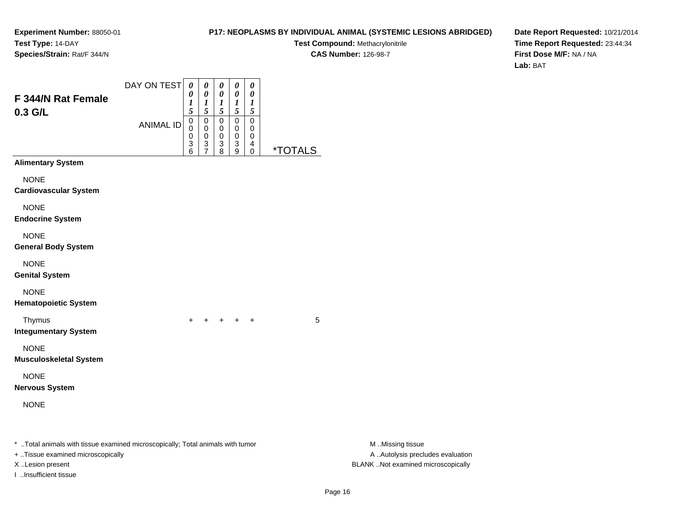#### **P17: NEOPLASMS BY INDIVIDUAL ANIMAL (SYSTEMIC LESIONS ABRIDGED)**

**Test Compound:** Methacrylonitrile**CAS Number:** 126-98-7

**Date Report Requested:** 10/21/2014**Time Report Requested:** 23:44:34**First Dose M/F:** NA / NA**Lab:** BAT

| F 344/N Rat Female<br>0.3 G/L                                                                                                            | DAY ON TEST<br><b>ANIMAL ID</b> | $\boldsymbol{\theta}$<br>0<br>$\boldsymbol{l}$<br>5<br>$\mathbf 0$ | 0<br>0<br>$\boldsymbol{l}$<br>5<br>$\pmb{0}$ | 0<br>$\pmb{\theta}$<br>$\boldsymbol{l}$<br>5<br>$\mathbf 0$ | 0<br>$\pmb{\theta}$<br>$\boldsymbol{l}$<br>$\mathfrak{s}$<br>$\mathbf 0$ | 0<br>$\boldsymbol{\theta}$<br>$\boldsymbol{l}$<br>$\mathfrak{s}$<br>$\boldsymbol{0}$ |                       |                                                                                             |
|------------------------------------------------------------------------------------------------------------------------------------------|---------------------------------|--------------------------------------------------------------------|----------------------------------------------|-------------------------------------------------------------|--------------------------------------------------------------------------|--------------------------------------------------------------------------------------|-----------------------|---------------------------------------------------------------------------------------------|
|                                                                                                                                          |                                 | 0<br>0<br>3<br>6                                                   | 0<br>0<br>3<br>7                             | 0<br>0<br>3<br>8                                            | 0<br>$\mathbf 0$<br>3<br>9                                               | 0<br>0<br>4<br>0                                                                     | <i><b>*TOTALS</b></i> |                                                                                             |
| <b>Alimentary System</b>                                                                                                                 |                                 |                                                                    |                                              |                                                             |                                                                          |                                                                                      |                       |                                                                                             |
| <b>NONE</b><br><b>Cardiovascular System</b>                                                                                              |                                 |                                                                    |                                              |                                                             |                                                                          |                                                                                      |                       |                                                                                             |
| <b>NONE</b><br><b>Endocrine System</b>                                                                                                   |                                 |                                                                    |                                              |                                                             |                                                                          |                                                                                      |                       |                                                                                             |
| <b>NONE</b><br><b>General Body System</b>                                                                                                |                                 |                                                                    |                                              |                                                             |                                                                          |                                                                                      |                       |                                                                                             |
| <b>NONE</b><br><b>Genital System</b>                                                                                                     |                                 |                                                                    |                                              |                                                             |                                                                          |                                                                                      |                       |                                                                                             |
| <b>NONE</b><br><b>Hematopoietic System</b>                                                                                               |                                 |                                                                    |                                              |                                                             |                                                                          |                                                                                      |                       |                                                                                             |
| Thymus<br><b>Integumentary System</b>                                                                                                    |                                 | $\ddot{}$                                                          |                                              | $+$ $+$ $+$ $+$                                             |                                                                          |                                                                                      | 5                     |                                                                                             |
| <b>NONE</b><br><b>Musculoskeletal System</b>                                                                                             |                                 |                                                                    |                                              |                                                             |                                                                          |                                                                                      |                       |                                                                                             |
| <b>NONE</b><br><b>Nervous System</b>                                                                                                     |                                 |                                                                    |                                              |                                                             |                                                                          |                                                                                      |                       |                                                                                             |
| <b>NONE</b>                                                                                                                              |                                 |                                                                    |                                              |                                                             |                                                                          |                                                                                      |                       |                                                                                             |
| *  Total animals with tissue examined microscopically; Total animals with tumor<br>+ Tissue examined microscopically<br>X Lesion present |                                 |                                                                    |                                              |                                                             |                                                                          |                                                                                      |                       | M Missing tissue<br>A  Autolysis precludes evaluation<br>BLANK Not examined microscopically |

I ..Insufficient tissue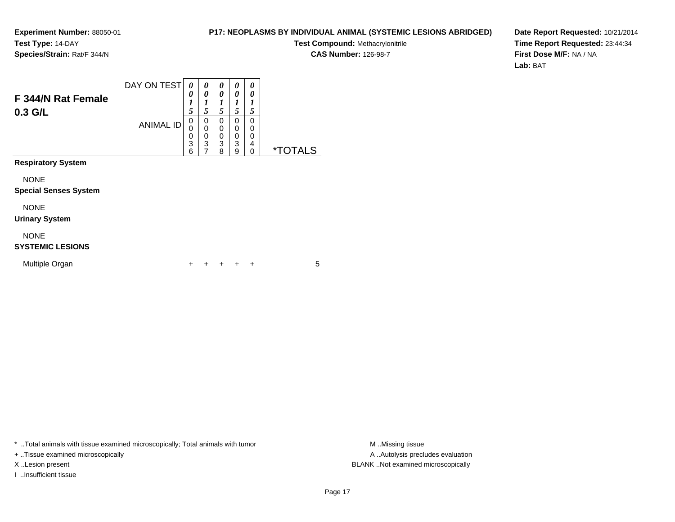#### **P17: NEOPLASMS BY INDIVIDUAL ANIMAL (SYSTEMIC LESIONS ABRIDGED)**

**Test Compound:** Methacrylonitrile**CAS Number:** 126-98-7

**Date Report Requested:** 10/21/2014**Time Report Requested:** 23:44:34**First Dose M/F:** NA / NA**Lab:** BAT

| F 344/N Rat Female<br>$0.3$ G/L             | DAY ON TEST<br><b>ANIMAL ID</b> | 0<br>0<br>1<br>5<br>$\mathbf 0$<br>0<br>$\mathbf 0$<br>3<br>6 | 0<br>0<br>1<br>5<br>0<br>0<br>0<br>3<br>$\overline{7}$ | 0<br>0<br>1<br>5<br>$\Omega$<br>0<br>0<br>3<br>8 | 0<br>0<br>1<br>5<br>$\Omega$<br>0<br>$\Omega$<br>3<br>9 | 0<br>0<br>1<br>5<br>$\Omega$<br>0<br>0<br>4<br>0 | <i><b>*TOTALS</b></i> |
|---------------------------------------------|---------------------------------|---------------------------------------------------------------|--------------------------------------------------------|--------------------------------------------------|---------------------------------------------------------|--------------------------------------------------|-----------------------|
| <b>Respiratory System</b>                   |                                 |                                                               |                                                        |                                                  |                                                         |                                                  |                       |
| <b>NONE</b><br><b>Special Senses System</b> |                                 |                                                               |                                                        |                                                  |                                                         |                                                  |                       |
| <b>NONE</b><br><b>Urinary System</b>        |                                 |                                                               |                                                        |                                                  |                                                         |                                                  |                       |
| <b>NONE</b><br><b>SYSTEMIC LESIONS</b>      |                                 |                                                               |                                                        |                                                  |                                                         |                                                  |                       |
| Multiple Organ                              |                                 | ٠                                                             |                                                        |                                                  |                                                         | ÷                                                | 5                     |

\* ..Total animals with tissue examined microscopically; Total animals with tumor **M** . Missing tissue M ..Missing tissue

+ ..Tissue examined microscopically

I ..Insufficient tissue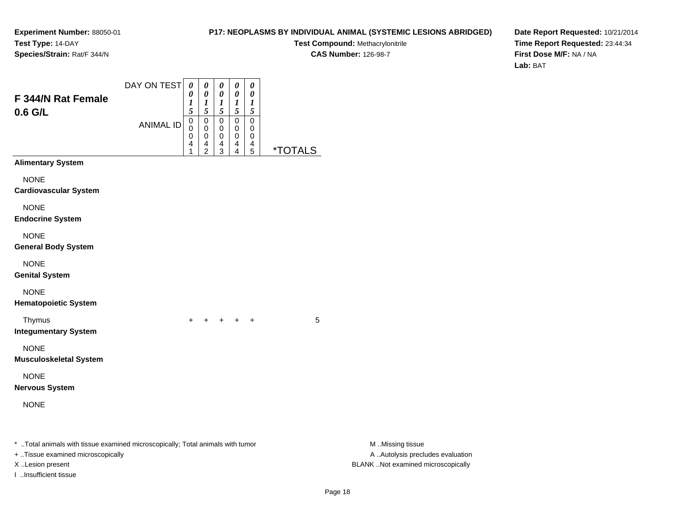**Experiment Number:** 88050-01**Test Type:** 14-DAY

# **P17: NEOPLASMS BY INDIVIDUAL ANIMAL (SYSTEMIC LESIONS ABRIDGED)**

**Test Compound:** Methacrylonitrile**CAS Number:** 126-98-7

**Date Report Requested:** 10/21/2014**Time Report Requested:** 23:44:34**First Dose M/F:** NA / NA**Lab:** BAT

| Species/Strain: Rat/F 344/N     |                                       |
|---------------------------------|---------------------------------------|
| F 344/N Rat Female<br>$0.6$ G/L | DAY ON TEST $\boxed{0}$<br>ANIIMAL IN |
|                                 |                                       |

| <b>CONTEST</b> | 0<br>0           | 0<br>0           | 0<br>0                       | 0                |   |                       |
|----------------|------------------|------------------|------------------------------|------------------|---|-----------------------|
|                | 5                | 5                | $\frac{1}{5}$                | 5                | 5 |                       |
| ANIMAL ID      | 0<br>0<br>0<br>4 | 0<br>0<br>0<br>4 | 0<br>0<br>0<br>$\frac{4}{3}$ | 0<br>0<br>ი<br>4 | 4 | <i><b>*TOTALS</b></i> |
|                |                  | $\overline{2}$   |                              | 4                | 5 |                       |

<sup>+</sup> <sup>+</sup> <sup>+</sup> <sup>+</sup> <sup>5</sup>

**Alimentary System**

NONE

**Cardiovascular System**

NONE

**Endocrine System**

NONE

**General Body System**

NONE

**Genital System**

NONE

**Hematopoietic System**

Thymus

 <sup>+</sup>**Integumentary System**

NONE

**Musculoskeletal System**

NONE

**Nervous System**

NONE

\* ..Total animals with tissue examined microscopically; Total animals with tumor **M** ...Missing tissue M ...Missing tissue

+ ..Tissue examined microscopically

I ..Insufficient tissue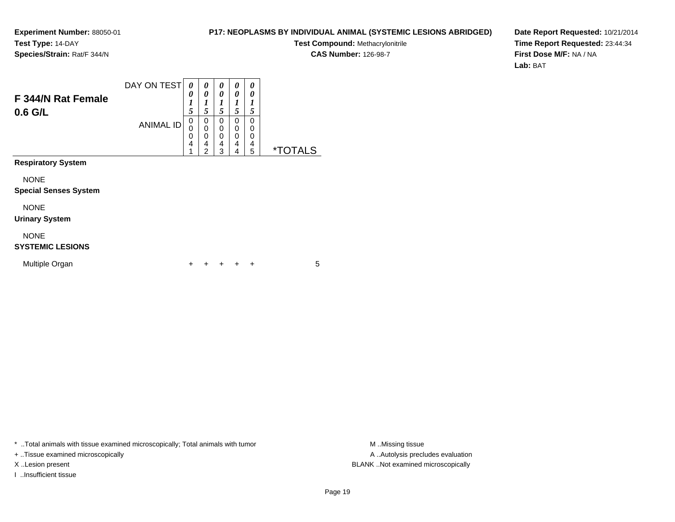#### **P17: NEOPLASMS BY INDIVIDUAL ANIMAL (SYSTEMIC LESIONS ABRIDGED)**

**Test Compound:** Methacrylonitrile

**CAS Number:** 126-98-7

**Date Report Requested:** 10/21/2014**Time Report Requested:** 23:44:34**First Dose M/F:** NA / NA**Lab:** BAT

| F 344/N Rat Female<br>$0.6$ G/L             | DAY ON TEST<br><b>ANIMAL ID</b> | 0<br>0<br>1<br>5<br>0<br>$\Omega$<br>0<br>4<br>4 | 0<br>0<br>1<br>5<br>0<br>$\mathbf 0$<br>$\mathbf 0$<br>4<br>$\overline{2}$ | 0<br>0<br>1<br>5<br>0<br>0<br>$\Omega$<br>4<br>3 | 0<br>0<br>1<br>5<br>$\Omega$<br>$\mathbf 0$<br>$\Omega$<br>4<br>4 | 0<br>0<br>1<br>5<br>0<br>0<br>$\Omega$<br>4<br>5 | <i><b>*TOTALS</b></i> |
|---------------------------------------------|---------------------------------|--------------------------------------------------|----------------------------------------------------------------------------|--------------------------------------------------|-------------------------------------------------------------------|--------------------------------------------------|-----------------------|
| <b>Respiratory System</b>                   |                                 |                                                  |                                                                            |                                                  |                                                                   |                                                  |                       |
| <b>NONE</b><br><b>Special Senses System</b> |                                 |                                                  |                                                                            |                                                  |                                                                   |                                                  |                       |
| <b>NONE</b><br><b>Urinary System</b>        |                                 |                                                  |                                                                            |                                                  |                                                                   |                                                  |                       |
| <b>NONE</b><br><b>SYSTEMIC LESIONS</b>      |                                 |                                                  |                                                                            |                                                  |                                                                   |                                                  |                       |
| Multiple Organ                              |                                 |                                                  |                                                                            |                                                  |                                                                   | $\div$                                           | 5                     |

\* ..Total animals with tissue examined microscopically; Total animals with tumor **M** . Missing tissue M ..Missing tissue

+ ..Tissue examined microscopically

I ..Insufficient tissue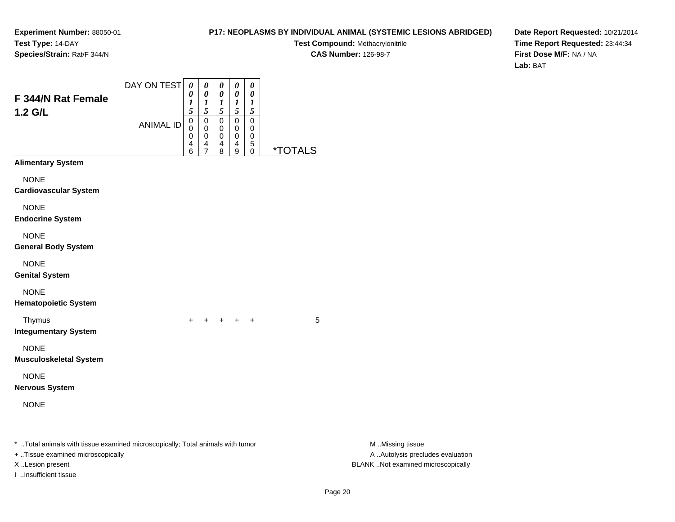#### **P17: NEOPLASMS BY INDIVIDUAL ANIMAL (SYSTEMIC LESIONS ABRIDGED)**

**Test Compound:** Methacrylonitrile**CAS Number:** 126-98-7

| F 344/N Rat Female<br>1.2 G/L                                                                                                                                    | DAY ON TEST<br><b>ANIMAL ID</b> | $\boldsymbol{\theta}$<br>0<br>$\boldsymbol{l}$<br>5<br>$\boldsymbol{0}$<br>0<br>0<br>4<br>6 | 0<br>$\boldsymbol{\theta}$<br>$\boldsymbol{l}$<br>$\mathfrak{s}$<br>$\mathbf 0$<br>$\mathbf 0$<br>$\pmb{0}$<br>4<br>7 | 0<br>$\boldsymbol{\theta}$<br>$\boldsymbol{l}$<br>$\mathfrak{s}$<br>$\pmb{0}$<br>$\mathbf 0$<br>$\pmb{0}$<br>4<br>8 | $\pmb{\theta}$<br>$\pmb{\theta}$<br>$\boldsymbol{l}$<br>$\sqrt{5}$<br>$\boldsymbol{0}$<br>$\mathbf 0$<br>$\pmb{0}$<br>$\overline{\mathbf{4}}$<br>9 | $\pmb{\theta}$<br>$\pmb{\theta}$<br>$\boldsymbol{l}$<br>$\mathfrak{s}$<br>$\pmb{0}$<br>0<br>$\mathbf 0$<br>$\sqrt{5}$<br>$\pmb{0}$ | <i><b>*TOTALS</b></i> |                                                                                             |
|------------------------------------------------------------------------------------------------------------------------------------------------------------------|---------------------------------|---------------------------------------------------------------------------------------------|-----------------------------------------------------------------------------------------------------------------------|---------------------------------------------------------------------------------------------------------------------|----------------------------------------------------------------------------------------------------------------------------------------------------|------------------------------------------------------------------------------------------------------------------------------------|-----------------------|---------------------------------------------------------------------------------------------|
| <b>Alimentary System</b>                                                                                                                                         |                                 |                                                                                             |                                                                                                                       |                                                                                                                     |                                                                                                                                                    |                                                                                                                                    |                       |                                                                                             |
| <b>NONE</b><br><b>Cardiovascular System</b>                                                                                                                      |                                 |                                                                                             |                                                                                                                       |                                                                                                                     |                                                                                                                                                    |                                                                                                                                    |                       |                                                                                             |
| <b>NONE</b><br><b>Endocrine System</b>                                                                                                                           |                                 |                                                                                             |                                                                                                                       |                                                                                                                     |                                                                                                                                                    |                                                                                                                                    |                       |                                                                                             |
| <b>NONE</b><br><b>General Body System</b>                                                                                                                        |                                 |                                                                                             |                                                                                                                       |                                                                                                                     |                                                                                                                                                    |                                                                                                                                    |                       |                                                                                             |
| <b>NONE</b><br><b>Genital System</b>                                                                                                                             |                                 |                                                                                             |                                                                                                                       |                                                                                                                     |                                                                                                                                                    |                                                                                                                                    |                       |                                                                                             |
| <b>NONE</b><br><b>Hematopoietic System</b>                                                                                                                       |                                 |                                                                                             |                                                                                                                       |                                                                                                                     |                                                                                                                                                    |                                                                                                                                    |                       |                                                                                             |
| Thymus<br><b>Integumentary System</b>                                                                                                                            |                                 |                                                                                             |                                                                                                                       | $+$ $+$ $+$ $+$                                                                                                     |                                                                                                                                                    |                                                                                                                                    | 5                     |                                                                                             |
| <b>NONE</b><br><b>Musculoskeletal System</b>                                                                                                                     |                                 |                                                                                             |                                                                                                                       |                                                                                                                     |                                                                                                                                                    |                                                                                                                                    |                       |                                                                                             |
| <b>NONE</b><br><b>Nervous System</b>                                                                                                                             |                                 |                                                                                             |                                                                                                                       |                                                                                                                     |                                                                                                                                                    |                                                                                                                                    |                       |                                                                                             |
| <b>NONE</b>                                                                                                                                                      |                                 |                                                                                             |                                                                                                                       |                                                                                                                     |                                                                                                                                                    |                                                                                                                                    |                       |                                                                                             |
| * Total animals with tissue examined microscopically; Total animals with tumor<br>+ Tissue examined microscopically<br>X Lesion present<br>I Insufficient tissue |                                 |                                                                                             |                                                                                                                       |                                                                                                                     |                                                                                                                                                    |                                                                                                                                    |                       | M Missing tissue<br>A  Autolysis precludes evaluation<br>BLANK Not examined microscopically |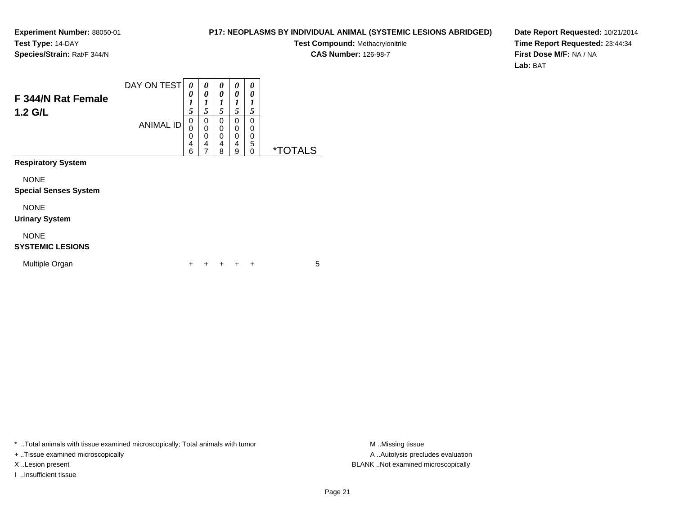#### **P17: NEOPLASMS BY INDIVIDUAL ANIMAL (SYSTEMIC LESIONS ABRIDGED)**

**Test Compound:** Methacrylonitrile**CAS Number:** 126-98-7

**Date Report Requested:** 10/21/2014**Time Report Requested:** 23:44:34**First Dose M/F:** NA / NA**Lab:** BAT

| F 344/N Rat Female<br>$1.2$ G/L             | DAY ON TEST<br><b>ANIMAL ID</b> | 0<br>0<br>$\boldsymbol{l}$<br>5<br>0<br>0<br>0<br>4<br>6 | 0<br>0<br>1<br>5<br>0<br>$\mathbf 0$<br>0<br>4<br>7 | 0<br>0<br>1<br>5<br>$\Omega$<br>$\mathbf 0$<br>$\mathbf 0$<br>4<br>8 | 0<br>0<br>1<br>5<br>0<br>0<br>$\Omega$<br>4<br>9 | 0<br>0<br>1<br>5<br>0<br>0<br>0<br>5<br>$\Omega$ | <i><b>*TOTALS</b></i> |
|---------------------------------------------|---------------------------------|----------------------------------------------------------|-----------------------------------------------------|----------------------------------------------------------------------|--------------------------------------------------|--------------------------------------------------|-----------------------|
| <b>Respiratory System</b>                   |                                 |                                                          |                                                     |                                                                      |                                                  |                                                  |                       |
| <b>NONE</b><br><b>Special Senses System</b> |                                 |                                                          |                                                     |                                                                      |                                                  |                                                  |                       |
| <b>NONE</b><br><b>Urinary System</b>        |                                 |                                                          |                                                     |                                                                      |                                                  |                                                  |                       |
| <b>NONE</b><br><b>SYSTEMIC LESIONS</b>      |                                 |                                                          |                                                     |                                                                      |                                                  |                                                  |                       |
| Multiple Organ                              |                                 | ٠                                                        |                                                     |                                                                      |                                                  | ÷                                                | 5                     |

\* ..Total animals with tissue examined microscopically; Total animals with tumor **M** . Missing tissue M ..Missing tissue

+ ..Tissue examined microscopically

I ..Insufficient tissue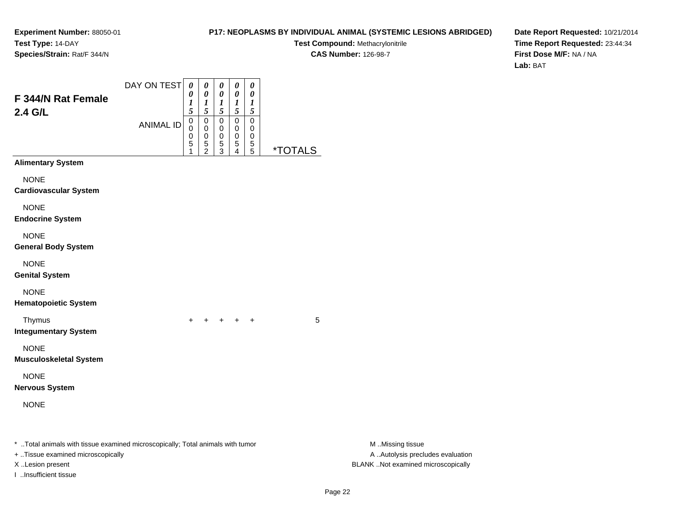I ..Insufficient tissue

### **P17: NEOPLASMS BY INDIVIDUAL ANIMAL (SYSTEMIC LESIONS ABRIDGED)**

**Test Compound:** Methacrylonitrile**CAS Number:** 126-98-7

**Date Report Requested:** 10/21/2014**Time Report Requested:** 23:44:34**First Dose M/F:** NA / NA**Lab:** BAT

| F 344/N Rat Female<br>2.4 G/L                                                                                       | DAY ON TEST      | $\boldsymbol{\theta}$<br>0<br>1<br>$\bar{s}$ | 0<br>0<br>$\frac{1}{5}$                                      | 0<br>$\pmb{\theta}$<br>$\frac{1}{5}$                   | $\pmb{\theta}$<br>$\boldsymbol{\theta}$<br>$\frac{1}{5}$      | 0<br>0<br>$\frac{1}{5}$                              |                       |                                                       |
|---------------------------------------------------------------------------------------------------------------------|------------------|----------------------------------------------|--------------------------------------------------------------|--------------------------------------------------------|---------------------------------------------------------------|------------------------------------------------------|-----------------------|-------------------------------------------------------|
|                                                                                                                     | <b>ANIMAL ID</b> | 0<br>0<br>0<br>5<br>1                        | $\pmb{0}$<br>$\mathbf 0$<br>$\pmb{0}$<br>5<br>$\overline{2}$ | $\pmb{0}$<br>$\mathbf 0$<br>$\pmb{0}$<br>$\frac{5}{3}$ | $\mathbf 0$<br>0<br>$\pmb{0}$<br>5<br>$\overline{\mathbf{4}}$ | 0<br>0<br>0<br>$\begin{array}{c} 5 \\ 5 \end{array}$ | <i><b>*TOTALS</b></i> |                                                       |
| <b>Alimentary System</b>                                                                                            |                  |                                              |                                                              |                                                        |                                                               |                                                      |                       |                                                       |
| <b>NONE</b><br><b>Cardiovascular System</b>                                                                         |                  |                                              |                                                              |                                                        |                                                               |                                                      |                       |                                                       |
| <b>NONE</b><br><b>Endocrine System</b>                                                                              |                  |                                              |                                                              |                                                        |                                                               |                                                      |                       |                                                       |
| <b>NONE</b><br><b>General Body System</b>                                                                           |                  |                                              |                                                              |                                                        |                                                               |                                                      |                       |                                                       |
| <b>NONE</b><br><b>Genital System</b>                                                                                |                  |                                              |                                                              |                                                        |                                                               |                                                      |                       |                                                       |
| <b>NONE</b><br><b>Hematopoietic System</b>                                                                          |                  |                                              |                                                              |                                                        |                                                               |                                                      |                       |                                                       |
| Thymus<br><b>Integumentary System</b>                                                                               |                  | $+$                                          |                                                              |                                                        | $+ + + + +$                                                   |                                                      | 5                     |                                                       |
| <b>NONE</b><br><b>Musculoskeletal System</b>                                                                        |                  |                                              |                                                              |                                                        |                                                               |                                                      |                       |                                                       |
| <b>NONE</b><br><b>Nervous System</b>                                                                                |                  |                                              |                                                              |                                                        |                                                               |                                                      |                       |                                                       |
| <b>NONE</b>                                                                                                         |                  |                                              |                                                              |                                                        |                                                               |                                                      |                       |                                                       |
| * Total animals with tissue examined microscopically; Total animals with tumor<br>+ Tissue examined microscopically |                  |                                              |                                                              |                                                        |                                                               |                                                      |                       | M Missing tissue<br>A  Autolysis precludes evaluation |

X ..Lesion present BLANK ..Not examined microscopically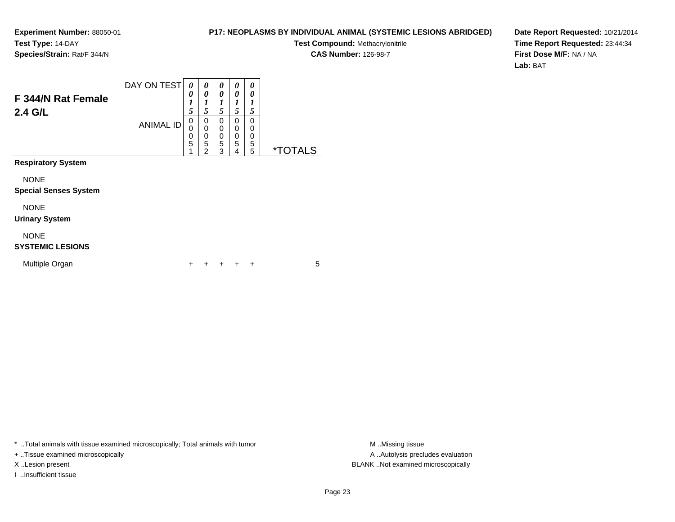#### **P17: NEOPLASMS BY INDIVIDUAL ANIMAL (SYSTEMIC LESIONS ABRIDGED)**

**Test Compound:** Methacrylonitrile**CAS Number:** 126-98-7

**Date Report Requested:** 10/21/2014**Time Report Requested:** 23:44:34**First Dose M/F:** NA / NA**Lab:** BAT

| F 344/N Rat Female<br>2.4 G/L               | DAY ON TEST      | 0<br>0<br>1<br>5      | 0<br>0<br>1<br>5                             | 0<br>0<br>1<br>5      | 0<br>0<br>1<br>5      | 0<br>0<br>1<br>5             |                       |
|---------------------------------------------|------------------|-----------------------|----------------------------------------------|-----------------------|-----------------------|------------------------------|-----------------------|
|                                             | <b>ANIMAL ID</b> | 0<br>0<br>0<br>5<br>1 | 0<br>$\mathbf 0$<br>0<br>5<br>$\overline{2}$ | 0<br>0<br>0<br>5<br>3 | 0<br>0<br>0<br>5<br>4 | $\Omega$<br>0<br>0<br>5<br>5 | <i><b>*TOTALS</b></i> |
| <b>Respiratory System</b>                   |                  |                       |                                              |                       |                       |                              |                       |
| <b>NONE</b><br><b>Special Senses System</b> |                  |                       |                                              |                       |                       |                              |                       |
| <b>NONE</b><br><b>Urinary System</b>        |                  |                       |                                              |                       |                       |                              |                       |
| <b>NONE</b><br><b>SYSTEMIC LESIONS</b>      |                  |                       |                                              |                       |                       |                              |                       |
| Multiple Organ                              |                  | ٠                     |                                              |                       |                       | ÷                            | 5                     |

\* ..Total animals with tissue examined microscopically; Total animals with tumor **M** . Missing tissue M ..Missing tissue

+ ..Tissue examined microscopically

I ..Insufficient tissue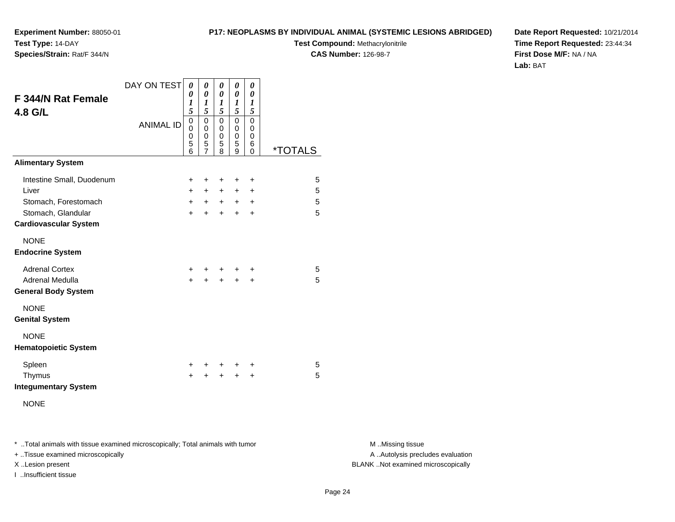**P17: NEOPLASMS BY INDIVIDUAL ANIMAL (SYSTEMIC LESIONS ABRIDGED)**

**Test Compound:** Methacrylonitrile

**CAS Number:** 126-98-7

**Date Report Requested:** 10/21/2014**Time Report Requested:** 23:44:34**First Dose M/F:** NA / NA**Lab:** BAT

| F 344/N Rat Female<br>4.8 G/L                      | DAY ON TEST<br><b>ANIMAL ID</b> | 0<br>0<br>1<br>5<br>0<br>0<br>0<br>5<br>6 | 0<br>0<br>1<br>5<br>0<br>0<br>0<br>5<br>7 | 0<br>0<br>1<br>5<br>$\mathbf 0$<br>0<br>0<br>5<br>8 | $\pmb{\theta}$<br>0<br>1<br>5<br>$\mathbf 0$<br>0<br>0<br>5<br>9 | 0<br>0<br>1<br>5<br>0<br>0<br>0<br>6<br>0 | <i><b>*TOTALS</b></i> |
|----------------------------------------------------|---------------------------------|-------------------------------------------|-------------------------------------------|-----------------------------------------------------|------------------------------------------------------------------|-------------------------------------------|-----------------------|
| <b>Alimentary System</b>                           |                                 |                                           |                                           |                                                     |                                                                  |                                           |                       |
| Intestine Small, Duodenum                          |                                 | ٠                                         | $\ddot{}$                                 | ٠                                                   | ÷                                                                | $\ddot{}$                                 | 5                     |
| Liver                                              |                                 | +                                         | $\ddot{}$                                 | $+$                                                 | $\ddot{}$                                                        | +                                         | 5                     |
| Stomach, Forestomach                               |                                 | $\ddot{}$                                 | $\ddot{}$                                 |                                                     | $+$ $+$                                                          | $\ddot{}$                                 | 5                     |
| Stomach, Glandular<br><b>Cardiovascular System</b> |                                 | +                                         | $\ddot{}$                                 | $\ddot{}$                                           | $+$                                                              | $\ddot{}$                                 | 5                     |
| <b>NONE</b><br><b>Endocrine System</b>             |                                 |                                           |                                           |                                                     |                                                                  |                                           |                       |
| <b>Adrenal Cortex</b><br>Adrenal Medulla           |                                 | +<br>$\ddot{}$                            | +<br>$\ddot{}$                            | +<br>$\ddot{}$                                      | ٠<br>$\ddot{}$                                                   | ٠<br>$\ddot{}$                            | 5<br>5                |
| <b>General Body System</b>                         |                                 |                                           |                                           |                                                     |                                                                  |                                           |                       |
| <b>NONE</b><br><b>Genital System</b>               |                                 |                                           |                                           |                                                     |                                                                  |                                           |                       |
| <b>NONE</b><br><b>Hematopoietic System</b>         |                                 |                                           |                                           |                                                     |                                                                  |                                           |                       |
| Spleen                                             |                                 | ٠                                         | ٠                                         | ÷                                                   | ÷                                                                | +                                         | 5                     |
| Thymus<br><b>Integumentary System</b>              |                                 | +                                         | +                                         | +                                                   | $\div$                                                           | +                                         | 5                     |
| <b>NONE</b>                                        |                                 |                                           |                                           |                                                     |                                                                  |                                           |                       |

\* ..Total animals with tissue examined microscopically; Total animals with tumor **M** . Missing tissue M ..Missing tissue

+ ..Tissue examined microscopically

**Experiment Number:** 88050-01

**Species/Strain:** Rat/F 344/N

**Test Type:** 14-DAY

I ..Insufficient tissue